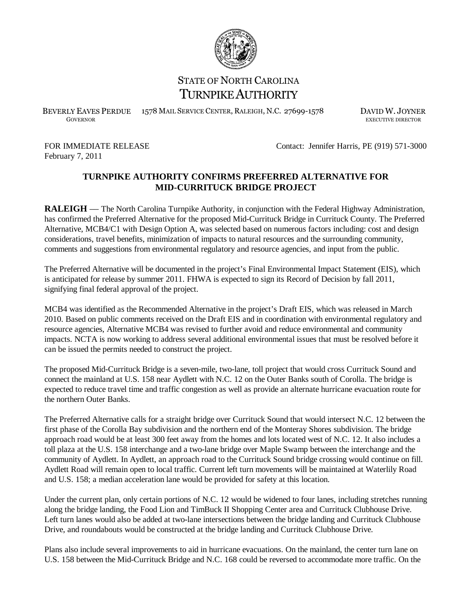

## STATE OF NORTH CAROLINA TURNPIKE AUTHORITY

BEVERLY EAVES PERDUE 1578 MAIL SERVICE CENTER, RALEIGH, N.C. 27699-1578 DAVID W. JOYNER

EXECUTIVE DIRECTOR

February 7, 2011

FOR IMMEDIATE RELEASE Contact: Jennifer Harris, PE (919) 571-3000

## **TURNPIKE AUTHORITY CONFIRMS PREFERRED ALTERNATIVE FOR MID-CURRITUCK BRIDGE PROJECT**

**RALEIGH** — The North Carolina Turnpike Authority, in conjunction with the Federal Highway Administration, has confirmed the Preferred Alternative for the proposed Mid-Currituck Bridge in Currituck County. The Preferred Alternative, MCB4/C1 with Design Option A, was selected based on numerous factors including: cost and design considerations, travel benefits, minimization of impacts to natural resources and the surrounding community, comments and suggestions from environmental regulatory and resource agencies, and input from the public.

The Preferred Alternative will be documented in the project's Final Environmental Impact Statement (EIS), which is anticipated for release by summer 2011. FHWA is expected to sign its Record of Decision by fall 2011, signifying final federal approval of the project.

MCB4 was identified as the Recommended Alternative in the project's Draft EIS, which was released in March 2010. Based on public comments received on the Draft EIS and in coordination with environmental regulatory and resource agencies, Alternative MCB4 was revised to further avoid and reduce environmental and community impacts. NCTA is now working to address several additional environmental issues that must be resolved before it can be issued the permits needed to construct the project.

The proposed Mid-Currituck Bridge is a seven-mile, two-lane, toll project that would cross Currituck Sound and connect the mainland at U.S. 158 near Aydlett with N.C. 12 on the Outer Banks south of Corolla. The bridge is expected to reduce travel time and traffic congestion as well as provide an alternate hurricane evacuation route for the northern Outer Banks.

The Preferred Alternative calls for a straight bridge over Currituck Sound that would intersect N.C. 12 between the first phase of the Corolla Bay subdivision and the northern end of the Monteray Shores subdivision. The bridge approach road would be at least 300 feet away from the homes and lots located west of N.C. 12. It also includes a toll plaza at the U.S. 158 interchange and a two-lane bridge over Maple Swamp between the interchange and the community of Aydlett. In Aydlett, an approach road to the Currituck Sound bridge crossing would continue on fill. Aydlett Road will remain open to local traffic. Current left turn movements will be maintained at Waterlily Road and U.S. 158; a median acceleration lane would be provided for safety at this location.

Under the current plan, only certain portions of N.C. 12 would be widened to four lanes, including stretches running along the bridge landing, the Food Lion and TimBuck II Shopping Center area and Currituck Clubhouse Drive. Left turn lanes would also be added at two-lane intersections between the bridge landing and Currituck Clubhouse Drive, and roundabouts would be constructed at the bridge landing and Currituck Clubhouse Drive.

Plans also include several improvements to aid in hurricane evacuations. On the mainland, the center turn lane on U.S. 158 between the Mid-Currituck Bridge and N.C. 168 could be reversed to accommodate more traffic. On the